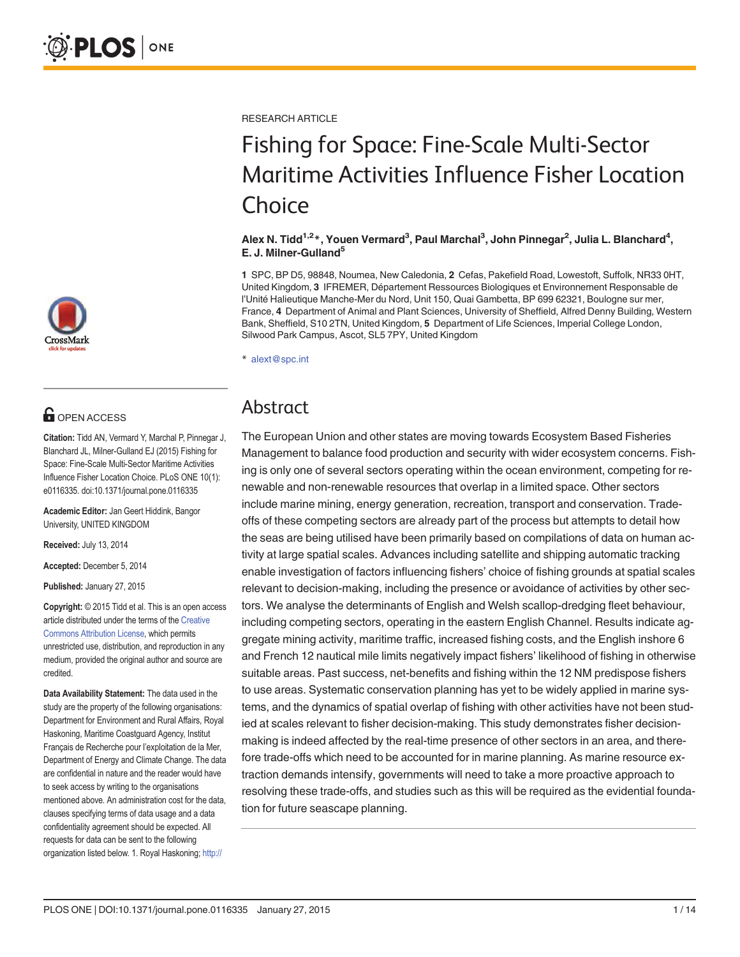

# **OPEN ACCESS**

Citation: Tidd AN, Vermard Y, Marchal P, Pinnegar J, Blanchard JL, Milner-Gulland EJ (2015) Fishing for Space: Fine-Scale Multi-Sector Maritime Activities Influence Fisher Location Choice. PLoS ONE 10(1): e0116335. doi:10.1371/journal.pone.0116335

Academic Editor: Jan Geert Hiddink, Bangor University, UNITED KINGDOM

Received: July 13, 2014

Accepted: December 5, 2014

Published: January 27, 2015

Copyright: © 2015 Tidd et al. This is an open access article distributed under the terms of the [Creative](http://creativecommons.org/licenses/by/4.0/) [Commons Attribution License](http://creativecommons.org/licenses/by/4.0/), which permits unrestricted use, distribution, and reproduction in any medium, provided the original author and source are credited.

Data Availability Statement: The data used in the study are the property of the following organisations: Department for Environment and Rural Affairs, Royal Haskoning, Maritime Coastguard Agency, Institut Français de Recherche pour l'exploitation de la Mer, Department of Energy and Climate Change. The data are confidential in nature and the reader would have to seek access by writing to the organisations mentioned above. An administration cost for the data, clauses specifying terms of data usage and a data confidentiality agreement should be expected. All requests for data can be sent to the following organization listed below. 1. Royal Haskoning; [http://](http://www.royalhaskoningdhv.com/en-gb/united-kingdom/contact-us)

RESEARCH ARTICLE

# Fishing for Space: Fine-Scale Multi-Sector Maritime Activities Influence Fisher Location

# Alex N. Tidd<sup>1,2</sup>\*, Youen Vermard<sup>3</sup>, Paul Marchal<sup>3</sup>, John Pinnegar<sup>2</sup>, Julia L. Blanchard<sup>4</sup>, E. J. Milner-Gulland<sup>5</sup>

1 SPC, BP D5, 98848, Noumea, New Caledonia, 2 Cefas, Pakefield Road, Lowestoft, Suffolk, NR33 0HT, United Kingdom, 3 IFREMER, Département Ressources Biologiques et Environnement Responsable de l'Unité Halieutique Manche-Mer du Nord, Unit 150, Quai Gambetta, BP 699 62321, Boulogne sur mer, France, 4 Department of Animal and Plant Sciences, University of Sheffield, Alfred Denny Building, Western Bank, Sheffield, S10 2TN, United Kingdom, 5 Department of Life Sciences, Imperial College London, Silwood Park Campus, Ascot, SL5 7PY, United Kingdom

\* alext@spc.int

# Abstract

Abstract<br>Absolute The European Union and other states are moving towards Ecosystem Based Fisheries Management to balance food production and security with wider ecosystem concerns. Fishing is only one of several sectors operating within the ocean environment, competing for renewable and non-renewable resources that overlap in a limited space. Other sectors include marine mining, energy generation, recreation, transport and conservation. Tradeoffs of these competing sectors are already part of the process but attempts to detail how the seas are being utilised have been primarily based on compilations of data on human activity at large spatial scales. Advances including satellite and shipping automatic tracking enable investigation of factors influencing fishers' choice of fishing grounds at spatial scales relevant to decision-making, including the presence or avoidance of activities by other sectors. We analyse the determinants of English and Welsh scallop-dredging fleet behaviour, including competing sectors, operating in the eastern English Channel. Results indicate aggregate mining activity, maritime traffic, increased fishing costs, and the English inshore 6 and French 12 nautical mile limits negatively impact fishers' likelihood of fishing in otherwise suitable areas. Past success, net-benefits and fishing within the 12 NM predispose fishers to use areas. Systematic conservation planning has yet to be widely applied in marine systems, and the dynamics of spatial overlap of fishing with other activities have not been studied at scales relevant to fisher decision-making. This study demonstrates fisher decisionmaking is indeed affected by the real-time presence of other sectors in an area, and therefore trade-offs which need to be accounted for in marine planning. As marine resource extraction demands intensify, governments will need to take a more proactive approach to resolving these trade-offs, and studies such as this will be required as the evidential foundation for future seascape planning.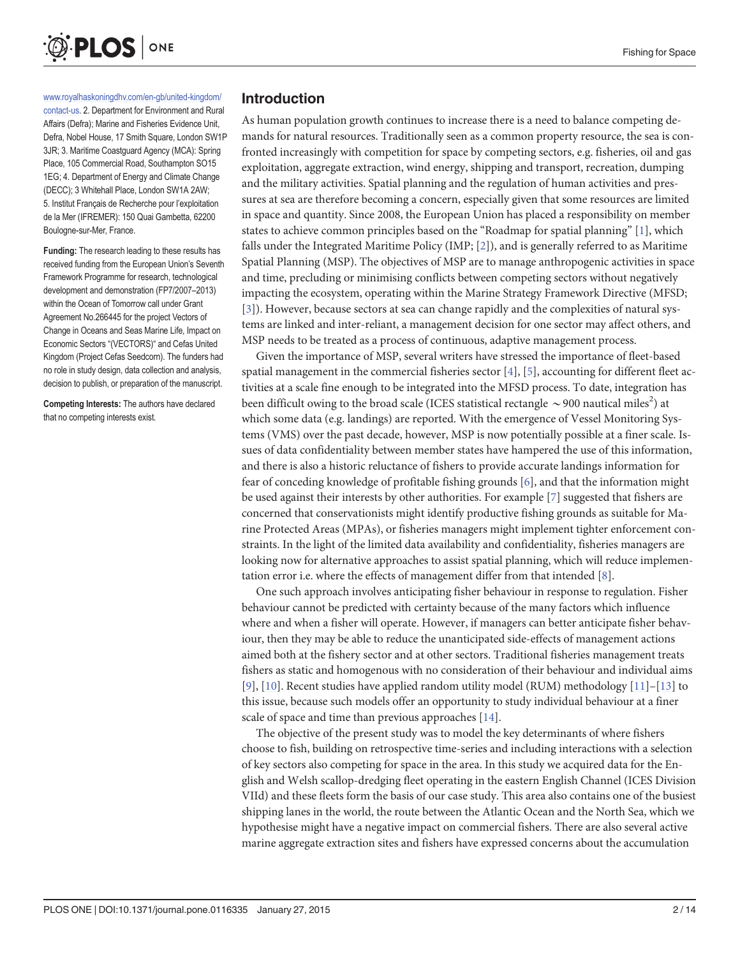<span id="page-1-0"></span>

[www.royalhaskoningdhv.com/en-gb/united-kingdom/](http://www.royalhaskoningdhv.com/en-gb/united-kingdom/contact-us) [contact-us](http://www.royalhaskoningdhv.com/en-gb/united-kingdom/contact-us). 2. Department for Environment and Rural Affairs (Defra); Marine and Fisheries Evidence Unit, Defra, Nobel House, 17 Smith Square, London SW1P 3JR; 3. Maritime Coastguard Agency (MCA): Spring Place, 105 Commercial Road, Southampton SO15 1EG; 4. Department of Energy and Climate Change (DECC); 3 Whitehall Place, London SW1A 2AW; 5. Institut Français de Recherche pour l'exploitation de la Mer (IFREMER): 150 Quai Gambetta, 62200 Boulogne-sur-Mer, France.

Funding: The research leading to these results has received funding from the European Union's Seventh Framework Programme for research, technological development and demonstration (FP7/2007–2013) within the Ocean of Tomorrow call under Grant Agreement No.266445 for the project Vectors of Change in Oceans and Seas Marine Life, Impact on Economic Sectors "(VECTORS)" and Cefas United Kingdom (Project Cefas Seedcorn). The funders had no role in study design, data collection and analysis, decision to publish, or preparation of the manuscript.

Competing Interests: The authors have declared that no competing interests exist.

#### Introduction

As human population growth continues to increase there is a need to balance competing demands for natural resources. Traditionally seen as a common property resource, the sea is confronted increasingly with competition for space by competing sectors, e.g. fisheries, oil and gas exploitation, aggregate extraction, wind energy, shipping and transport, recreation, dumping and the military activities. Spatial planning and the regulation of human activities and pressures at sea are therefore becoming a concern, especially given that some resources are limited in space and quantity. Since 2008, the European Union has placed a responsibility on member states to achieve common principles based on the "Roadmap for spatial planning"  $[1]$  $[1]$ , which falls under the Integrated Maritime Policy (IMP; [\[2](#page-11-0)]), and is generally referred to as Maritime Spatial Planning (MSP). The objectives of MSP are to manage anthropogenic activities in space and time, precluding or minimising conflicts between competing sectors without negatively impacting the ecosystem, operating within the Marine Strategy Framework Directive (MFSD; [\[3](#page-11-0)]). However, because sectors at sea can change rapidly and the complexities of natural systems are linked and inter-reliant, a management decision for one sector may affect others, and MSP needs to be treated as a process of continuous, adaptive management process.

Given the importance of MSP, several writers have stressed the importance of fleet-based spatial management in the commercial fisheries sector  $[4]$ ,  $[5]$ , accounting for different fleet activities at a scale fine enough to be integrated into the MFSD process. To date, integration has been difficult owing to the broad scale (ICES statistical rectangle  $\sim$  900 nautical miles<sup>2</sup>) at which some data (e.g. landings) are reported. With the emergence of Vessel Monitoring Systems (VMS) over the past decade, however, MSP is now potentially possible at a finer scale. Issues of data confidentiality between member states have hampered the use of this information, and there is also a historic reluctance of fishers to provide accurate landings information for fear of conceding knowledge of profitable fishing grounds [[6\]](#page-12-0), and that the information might be used against their interests by other authorities. For example [[7\]](#page-12-0) suggested that fishers are concerned that conservationists might identify productive fishing grounds as suitable for Marine Protected Areas (MPAs), or fisheries managers might implement tighter enforcement constraints. In the light of the limited data availability and confidentiality, fisheries managers are looking now for alternative approaches to assist spatial planning, which will reduce implementation error i.e. where the effects of management differ from that intended  $[8]$ .

One such approach involves anticipating fisher behaviour in response to regulation. Fisher behaviour cannot be predicted with certainty because of the many factors which influence where and when a fisher will operate. However, if managers can better anticipate fisher behaviour, then they may be able to reduce the unanticipated side-effects of management actions aimed both at the fishery sector and at other sectors. Traditional fisheries management treats fishers as static and homogenous with no consideration of their behaviour and individual aims [\[9](#page-12-0)], [[10](#page-12-0)]. Recent studies have applied random utility model (RUM) methodology [[11](#page-12-0)]–[\[13\]](#page-12-0) to this issue, because such models offer an opportunity to study individual behaviour at a finer scale of space and time than previous approaches [[14](#page-12-0)].

The objective of the present study was to model the key determinants of where fishers choose to fish, building on retrospective time-series and including interactions with a selection of key sectors also competing for space in the area. In this study we acquired data for the English and Welsh scallop-dredging fleet operating in the eastern English Channel (ICES Division VIId) and these fleets form the basis of our case study. This area also contains one of the busiest shipping lanes in the world, the route between the Atlantic Ocean and the North Sea, which we hypothesise might have a negative impact on commercial fishers. There are also several active marine aggregate extraction sites and fishers have expressed concerns about the accumulation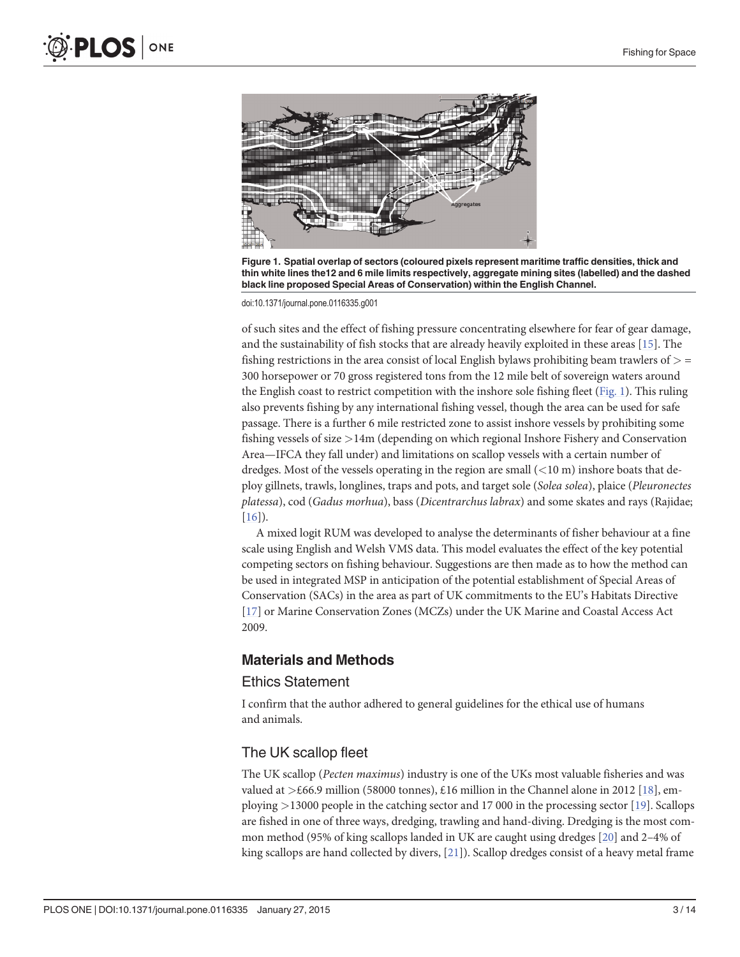<span id="page-2-0"></span>

Figure 1. Spatial overlap of sectors (coloured pixels represent maritime traffic densities, thick and thin white lines the12 and 6 mile limits respectively, aggregate mining sites (labelled) and the dashed black line proposed Special Areas of Conservation) within the English Channel.

doi:10.1371/journal.pone.0116335.g001

of such sites and the effect of fishing pressure concentrating elsewhere for fear of gear damage, and the sustainability of fish stocks that are already heavily exploited in these areas  $[15]$ . The fishing restrictions in the area consist of local English bylaws prohibiting beam trawlers of  $>$  = 300 horsepower or 70 gross registered tons from the 12 mile belt of sovereign waters around the English coast to restrict competition with the inshore sole fishing fleet (Fig. 1). This ruling also prevents fishing by any international fishing vessel, though the area can be used for safe passage. There is a further 6 mile restricted zone to assist inshore vessels by prohibiting some fishing vessels of size >14m (depending on which regional Inshore Fishery and Conservation Area—IFCA they fall under) and limitations on scallop vessels with a certain number of dredges. Most of the vessels operating in the region are small  $(<10 \text{ m})$  inshore boats that deploy gillnets, trawls, longlines, traps and pots, and target sole (Solea solea), plaice (Pleuronectes platessa), cod (Gadus morhua), bass (Dicentrarchus labrax) and some skates and rays (Rajidae;  $[16]$  $[16]$ ).

A mixed logit RUM was developed to analyse the determinants of fisher behaviour at a fine scale using English and Welsh VMS data. This model evaluates the effect of the key potential competing sectors on fishing behaviour. Suggestions are then made as to how the method can be used in integrated MSP in anticipation of the potential establishment of Special Areas of Conservation (SACs) in the area as part of UK commitments to the EU's Habitats Directive [\[17](#page-12-0)] or Marine Conservation Zones (MCZs) under the UK Marine and Coastal Access Act 2009.

#### Materials and Methods

#### Ethics Statement

I confirm that the author adhered to general guidelines for the ethical use of humans and animals.

#### The UK scallop fleet

The UK scallop (Pecten maximus) industry is one of the UKs most valuable fisheries and was valued at  $>$ £66.9 million (58000 tonnes), £16 million in the Channel alone in 2012 [\[18](#page-12-0)], employing >13000 people in the catching sector and 17 000 in the processing sector [\[19\]](#page-12-0). Scallops are fished in one of three ways, dredging, trawling and hand-diving. Dredging is the most common method (95% of king scallops landed in UK are caught using dredges [\[20](#page-12-0)] and 2–4% of king scallops are hand collected by divers,  $[21]$  $[21]$  $[21]$ ). Scallop dredges consist of a heavy metal frame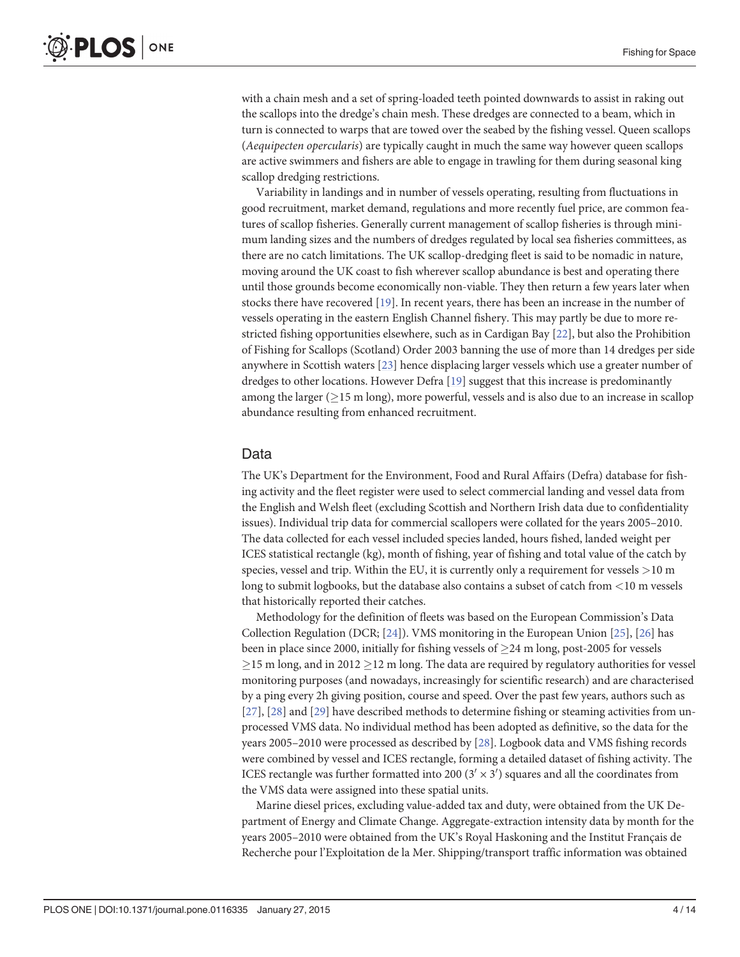<span id="page-3-0"></span>with a chain mesh and a set of spring-loaded teeth pointed downwards to assist in raking out the scallops into the dredge's chain mesh. These dredges are connected to a beam, which in turn is connected to warps that are towed over the seabed by the fishing vessel. Queen scallops (Aequipecten opercularis) are typically caught in much the same way however queen scallops are active swimmers and fishers are able to engage in trawling for them during seasonal king scallop dredging restrictions.

Variability in landings and in number of vessels operating, resulting from fluctuations in good recruitment, market demand, regulations and more recently fuel price, are common features of scallop fisheries. Generally current management of scallop fisheries is through minimum landing sizes and the numbers of dredges regulated by local sea fisheries committees, as there are no catch limitations. The UK scallop-dredging fleet is said to be nomadic in nature, moving around the UK coast to fish wherever scallop abundance is best and operating there until those grounds become economically non-viable. They then return a few years later when stocks there have recovered [\[19\]](#page-12-0). In recent years, there has been an increase in the number of vessels operating in the eastern English Channel fishery. This may partly be due to more restricted fishing opportunities elsewhere, such as in Cardigan Bay [\[22](#page-12-0)], but also the Prohibition of Fishing for Scallops (Scotland) Order 2003 banning the use of more than 14 dredges per side anywhere in Scottish waters [[23](#page-12-0)] hence displacing larger vessels which use a greater number of dredges to other locations. However Defra [[19](#page-12-0)] suggest that this increase is predominantly among the larger ( $\geq$ 15 m long), more powerful, vessels and is also due to an increase in scallop abundance resulting from enhanced recruitment.

#### Data

The UK's Department for the Environment, Food and Rural Affairs (Defra) database for fishing activity and the fleet register were used to select commercial landing and vessel data from the English and Welsh fleet (excluding Scottish and Northern Irish data due to confidentiality issues). Individual trip data for commercial scallopers were collated for the years 2005–2010. The data collected for each vessel included species landed, hours fished, landed weight per ICES statistical rectangle (kg), month of fishing, year of fishing and total value of the catch by species, vessel and trip. Within the EU, it is currently only a requirement for vessels  $>$ 10 m long to submit logbooks, but the database also contains a subset of catch from <10 m vessels that historically reported their catches.

Methodology for the definition of fleets was based on the European Commission's Data Collection Regulation (DCR; [[24](#page-12-0)]). VMS monitoring in the European Union [\[25\]](#page-12-0), [\[26\]](#page-12-0) has been in place since 2000, initially for fishing vessels of  $\geq$  24 m long, post-2005 for vessels  $\geq$ 15 m long, and in 2012  $\geq$  12 m long. The data are required by regulatory authorities for vessel monitoring purposes (and nowadays, increasingly for scientific research) and are characterised by a ping every 2h giving position, course and speed. Over the past few years, authors such as [\[27](#page-12-0)], [\[28\]](#page-12-0) and [[29\]](#page-12-0) have described methods to determine fishing or steaming activities from unprocessed VMS data. No individual method has been adopted as definitive, so the data for the years 2005–2010 were processed as described by [[28](#page-12-0)]. Logbook data and VMS fishing records were combined by vessel and ICES rectangle, forming a detailed dataset of fishing activity. The ICES rectangle was further formatted into 200 (3 $^{\prime} \times$  3 $^{\prime}$ ) squares and all the coordinates from the VMS data were assigned into these spatial units.

Marine diesel prices, excluding value-added tax and duty, were obtained from the UK Department of Energy and Climate Change. Aggregate-extraction intensity data by month for the years 2005–2010 were obtained from the UK's Royal Haskoning and the Institut Français de Recherche pour l'Exploitation de la Mer. Shipping/transport traffic information was obtained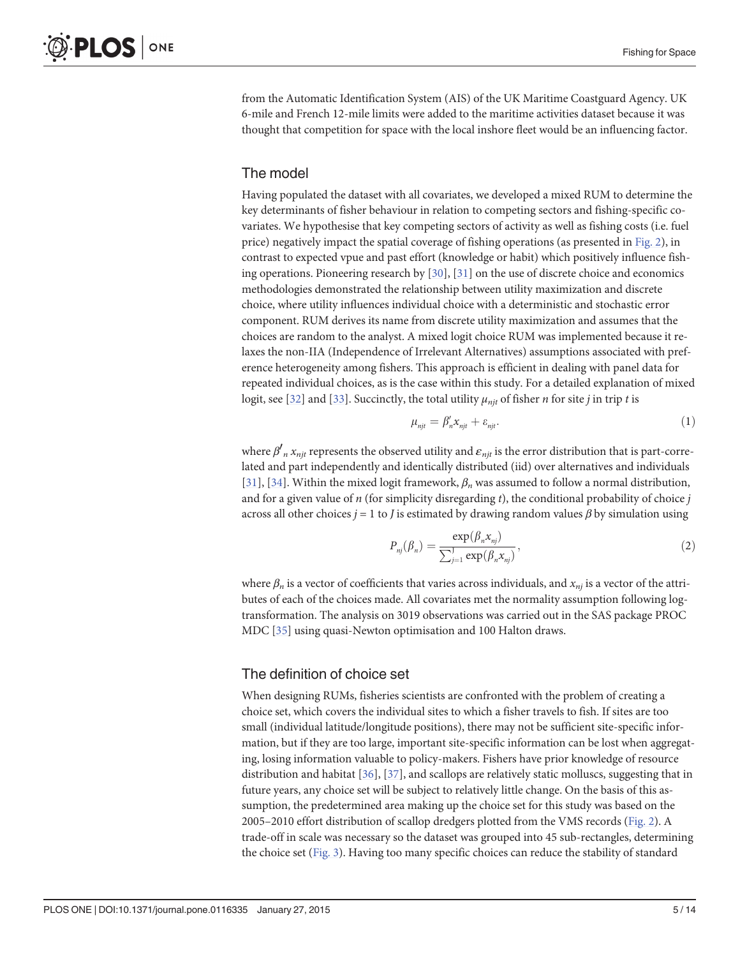<span id="page-4-0"></span>from the Automatic Identification System (AIS) of the UK Maritime Coastguard Agency. UK 6-mile and French 12-mile limits were added to the maritime activities dataset because it was thought that competition for space with the local inshore fleet would be an influencing factor.

#### The model

Having populated the dataset with all covariates, we developed a mixed RUM to determine the key determinants of fisher behaviour in relation to competing sectors and fishing-specific covariates. We hypothesise that key competing sectors of activity as well as fishing costs (i.e. fuel price) negatively impact the spatial coverage of fishing operations (as presented in [Fig. 2](#page-5-0)), in contrast to expected vpue and past effort (knowledge or habit) which positively influence fishing operations. Pioneering research by  $[30]$ ,  $[31]$  on the use of discrete choice and economics methodologies demonstrated the relationship between utility maximization and discrete choice, where utility influences individual choice with a deterministic and stochastic error component. RUM derives its name from discrete utility maximization and assumes that the choices are random to the analyst. A mixed logit choice RUM was implemented because it relaxes the non-IIA (Independence of Irrelevant Alternatives) assumptions associated with preference heterogeneity among fishers. This approach is efficient in dealing with panel data for repeated individual choices, as is the case within this study. For a detailed explanation of mixed logit, see [[32](#page-13-0)] and [[33](#page-13-0)]. Succinctly, the total utility  $\mu_{nit}$  of fisher *n* for site *j* in trip *t* is

$$
\mu_{njt} = \beta'_n x_{njt} + \varepsilon_{njt}.\tag{1}
$$

where  ${\beta'}_n$   $x_{njt}$  represents the observed utility and  $\varepsilon_{njt}$  is the error distribution that is part-correlated and part independently and identically distributed (iid) over alternatives and individuals [\[31](#page-13-0)], [\[34\]](#page-13-0). Within the mixed logit framework,  $\beta_n$  was assumed to follow a normal distribution, and for a given value of  $n$  (for simplicity disregarding  $t$ ), the conditional probability of choice  $j$ across all other choices  $j = 1$  to *I* is estimated by drawing random values  $\beta$  by simulation using

$$
P_{nj}(\beta_n) = \frac{\exp(\beta_n x_{nj})}{\sum_{j=1}^J \exp(\beta_n x_{nj})},\tag{2}
$$

where  $\beta_n$  is a vector of coefficients that varies across individuals, and  $x_{ni}$  is a vector of the attributes of each of the choices made. All covariates met the normality assumption following logtransformation. The analysis on 3019 observations was carried out in the SAS package PROC MDC [\[35\]](#page-13-0) using quasi-Newton optimisation and 100 Halton draws.

#### The definition of choice set

When designing RUMs, fisheries scientists are confronted with the problem of creating a choice set, which covers the individual sites to which a fisher travels to fish. If sites are too small (individual latitude/longitude positions), there may not be sufficient site-specific information, but if they are too large, important site-specific information can be lost when aggregating, losing information valuable to policy-makers. Fishers have prior knowledge of resource distribution and habitat [[36](#page-13-0)], [[37](#page-13-0)], and scallops are relatively static molluscs, suggesting that in future years, any choice set will be subject to relatively little change. On the basis of this assumption, the predetermined area making up the choice set for this study was based on the 2005–2010 effort distribution of scallop dredgers plotted from the VMS records ([Fig. 2](#page-5-0)). A trade-off in scale was necessary so the dataset was grouped into 45 sub-rectangles, determining the choice set ([Fig. 3](#page-5-0)). Having too many specific choices can reduce the stability of standard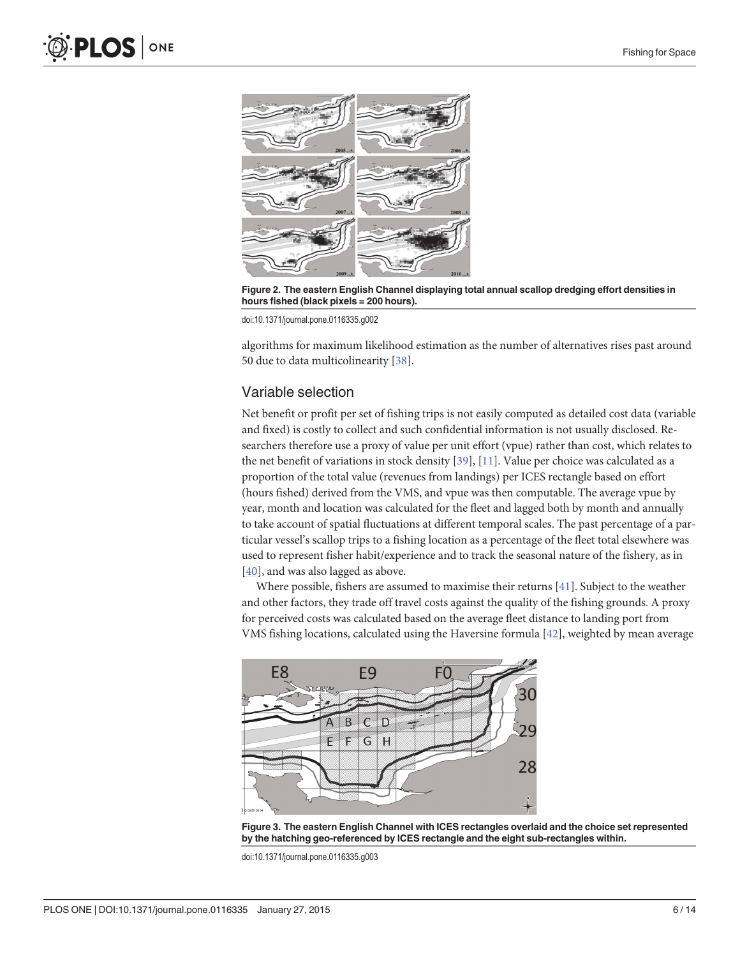<span id="page-5-0"></span>

[Figure 2.](#page-4-0) The eastern English Channel displaying total annual scallop dredging effort densities in hours fished (black pixels = 200 hours).

doi:10.1371/journal.pone.0116335.g002

algorithms for maximum likelihood estimation as the number of alternatives rises past around 50 due to data multicolinearity [\[38\]](#page-13-0).

#### Variable selection

Net benefit or profit per set of fishing trips is not easily computed as detailed cost data (variable and fixed) is costly to collect and such confidential information is not usually disclosed. Researchers therefore use a proxy of value per unit effort (vpue) rather than cost, which relates to the net benefit of variations in stock density [\[39\]](#page-13-0), [\[11\]](#page-12-0). Value per choice was calculated as a proportion of the total value (revenues from landings) per ICES rectangle based on effort (hours fished) derived from the VMS, and vpue was then computable. The average vpue by year, month and location was calculated for the fleet and lagged both by month and annually to take account of spatial fluctuations at different temporal scales. The past percentage of a particular vessel's scallop trips to a fishing location as a percentage of the fleet total elsewhere was used to represent fisher habit/experience and to track the seasonal nature of the fishery, as in [ $\overline{40}$ ], and was also lagged as above.

Where possible, fishers are assumed to maximise their returns [[41](#page-13-0)]. Subject to the weather and other factors, they trade off travel costs against the quality of the fishing grounds. A proxy for perceived costs was calculated based on the average fleet distance to landing port from VMS fishing locations, calculated using the Haversine formula [\[42\]](#page-13-0), weighted by mean average



[Figure 3.](#page-4-0) The eastern English Channel with ICES rectangles overlaid and the choice set represented by the hatching geo-referenced by ICES rectangle and the eight sub-rectangles within.

doi:10.1371/journal.pone.0116335.g003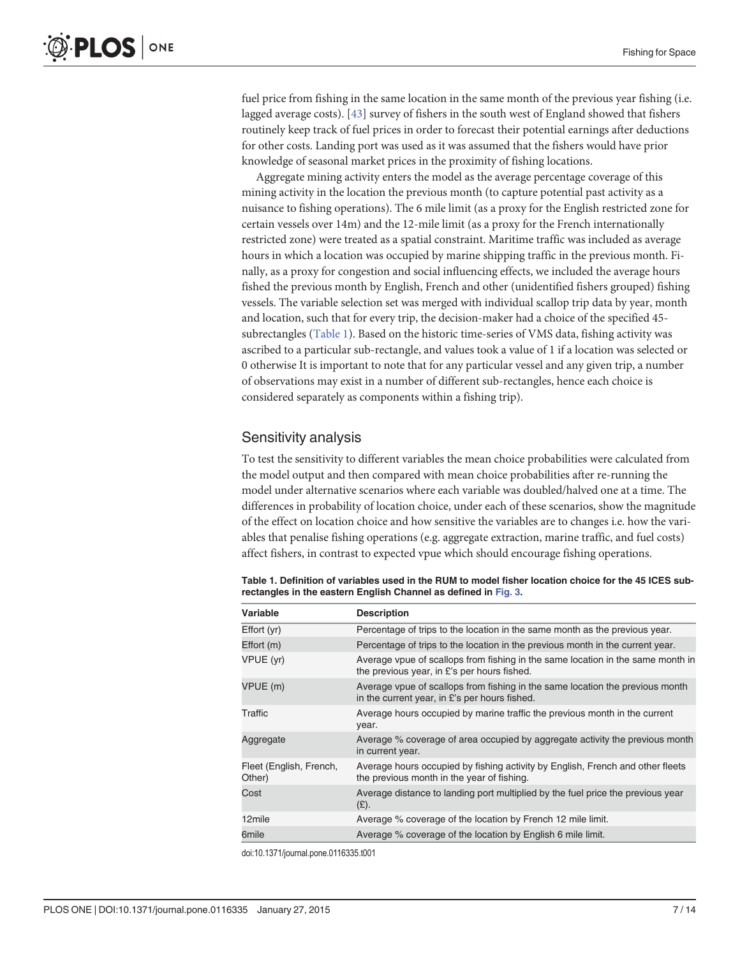<span id="page-6-0"></span>fuel price from fishing in the same location in the same month of the previous year fishing (i.e. lagged average costs). [[43](#page-13-0)] survey of fishers in the south west of England showed that fishers routinely keep track of fuel prices in order to forecast their potential earnings after deductions for other costs. Landing port was used as it was assumed that the fishers would have prior knowledge of seasonal market prices in the proximity of fishing locations.

Aggregate mining activity enters the model as the average percentage coverage of this mining activity in the location the previous month (to capture potential past activity as a nuisance to fishing operations). The 6 mile limit (as a proxy for the English restricted zone for certain vessels over 14m) and the 12-mile limit (as a proxy for the French internationally restricted zone) were treated as a spatial constraint. Maritime traffic was included as average hours in which a location was occupied by marine shipping traffic in the previous month. Finally, as a proxy for congestion and social influencing effects, we included the average hours fished the previous month by English, French and other (unidentified fishers grouped) fishing vessels. The variable selection set was merged with individual scallop trip data by year, month and location, such that for every trip, the decision-maker had a choice of the specified 45 subrectangles (Table 1). Based on the historic time-series of VMS data, fishing activity was ascribed to a particular sub-rectangle, and values took a value of 1 if a location was selected or 0 otherwise It is important to note that for any particular vessel and any given trip, a number of observations may exist in a number of different sub-rectangles, hence each choice is considered separately as components within a fishing trip).

#### Sensitivity analysis

To test the sensitivity to different variables the mean choice probabilities were calculated from the model output and then compared with mean choice probabilities after re-running the model under alternative scenarios where each variable was doubled/halved one at a time. The differences in probability of location choice, under each of these scenarios, show the magnitude of the effect on location choice and how sensitive the variables are to changes i.e. how the variables that penalise fishing operations (e.g. aggregate extraction, marine traffic, and fuel costs) affect fishers, in contrast to expected vpue which should encourage fishing operations.

Table 1. Definition of variables used in the RUM to model fisher location choice for the 45 ICES sub-rectangles in the eastern English Channel as defined in [Fig. 3.](#page-5-0)

| Variable                          | <b>Description</b>                                                                                                             |  |  |
|-----------------------------------|--------------------------------------------------------------------------------------------------------------------------------|--|--|
| Effort (yr)                       | Percentage of trips to the location in the same month as the previous year.                                                    |  |  |
| Effort (m)                        | Percentage of trips to the location in the previous month in the current year.                                                 |  |  |
| VPUE (yr)                         | Average vpue of scallops from fishing in the same location in the same month in<br>the previous year, in £'s per hours fished. |  |  |
| VPUE (m)                          | Average vpue of scallops from fishing in the same location the previous month<br>in the current year, in £'s per hours fished. |  |  |
| Traffic                           | Average hours occupied by marine traffic the previous month in the current<br>year.                                            |  |  |
| Aggregate                         | Average % coverage of area occupied by aggregate activity the previous month<br>in current year.                               |  |  |
| Fleet (English, French,<br>Other) | Average hours occupied by fishing activity by English, French and other fleets<br>the previous month in the year of fishing.   |  |  |
| Cost                              | Average distance to landing port multiplied by the fuel price the previous year<br>$(E)$ .                                     |  |  |
| 12mile                            | Average % coverage of the location by French 12 mile limit.                                                                    |  |  |
| 6mile                             | Average % coverage of the location by English 6 mile limit.                                                                    |  |  |

doi:10.1371/journal.pone.0116335.t001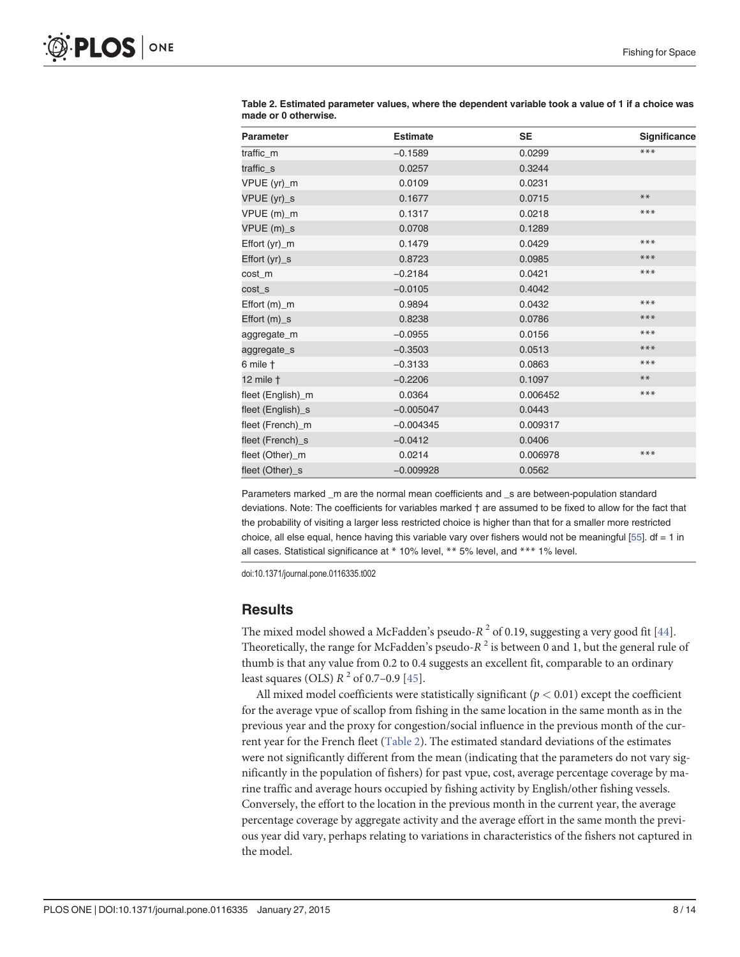| <b>Parameter</b>           | <b>Estimate</b> | <b>SE</b> | Significance |
|----------------------------|-----------------|-----------|--------------|
| traffic_m                  | $-0.1589$       | 0.0299    | ***          |
| traffic s                  | 0.0257          | 0.3244    |              |
| VPUE (yr)_m                | 0.0109          | 0.0231    |              |
| VPUE (yr)_s                | 0.1677          | 0.0715    | $***$        |
| VPUE (m)_m                 | 0.1317          | 0.0218    | ***          |
| VPUE (m)_s                 | 0.0708          | 0.1289    |              |
| Effort (yr)_m              | 0.1479          | 0.0429    | $***$        |
| Effort $(yr)$ <sub>S</sub> | 0.8723          | 0.0985    | $***$        |
| cost_m                     | $-0.2184$       | 0.0421    | ***          |
| cost_s                     | $-0.0105$       | 0.4042    |              |
| Effort (m)_m               | 0.9894          | 0.0432    | ***          |
| Effort (m)_s               | 0.8238          | 0.0786    | $***$        |
| aggregate_m                | $-0.0955$       | 0.0156    | ***          |
| aggregate_s                | $-0.3503$       | 0.0513    | $***$        |
| 6 mile †                   | $-0.3133$       | 0.0863    | $***$        |
| 12 mile $\dagger$          | $-0.2206$       | 0.1097    | $***$        |
| fleet (English)_m          | 0.0364          | 0.006452  | ***          |
| fleet (English)_s          | $-0.005047$     | 0.0443    |              |
| fleet (French)_m           | $-0.004345$     | 0.009317  |              |
| fleet (French)_s           | $-0.0412$       | 0.0406    |              |
| fleet (Other)_m            | 0.0214          | 0.006978  | ***          |
| fleet (Other)_s            | $-0.009928$     | 0.0562    |              |

<span id="page-7-0"></span>Table 2. Estimated parameter values, where the dependent variable took a value of 1 if a choice was made or 0 otherwise.

Parameters marked \_m are the normal mean coefficients and \_s are between-population standard deviations. Note: The coefficients for variables marked † are assumed to be fixed to allow for the fact that the probability of visiting a larger less restricted choice is higher than that for a smaller more restricted choice, all else equal, hence having this variable vary over fishers would not be meaningful [\[55](#page-13-0)]. df = 1 in all cases. Statistical significance at \* 10% level, \*\* 5% level, and \*\*\* 1% level.

doi:10.1371/journal.pone.0116335.t002

#### **Results**

The mixed model showed a McFadden's pseudo- $R^2$  of 0.19, suggesting a very good fit [\[44](#page-13-0)]. Theoretically, the range for McFadden's pseudo- $R^2$  is between 0 and 1, but the general rule of thumb is that any value from 0.2 to 0.4 suggests an excellent fit, comparable to an ordinary least squares (OLS)  $R^2$  of 0.7–0.9 [[45](#page-13-0)].

All mixed model coefficients were statistically significant ( $p < 0.01$ ) except the coefficient for the average vpue of scallop from fishing in the same location in the same month as in the previous year and the proxy for congestion/social influence in the previous month of the current year for the French fleet (Table 2). The estimated standard deviations of the estimates were not significantly different from the mean (indicating that the parameters do not vary significantly in the population of fishers) for past vpue, cost, average percentage coverage by marine traffic and average hours occupied by fishing activity by English/other fishing vessels. Conversely, the effort to the location in the previous month in the current year, the average percentage coverage by aggregate activity and the average effort in the same month the previous year did vary, perhaps relating to variations in characteristics of the fishers not captured in the model.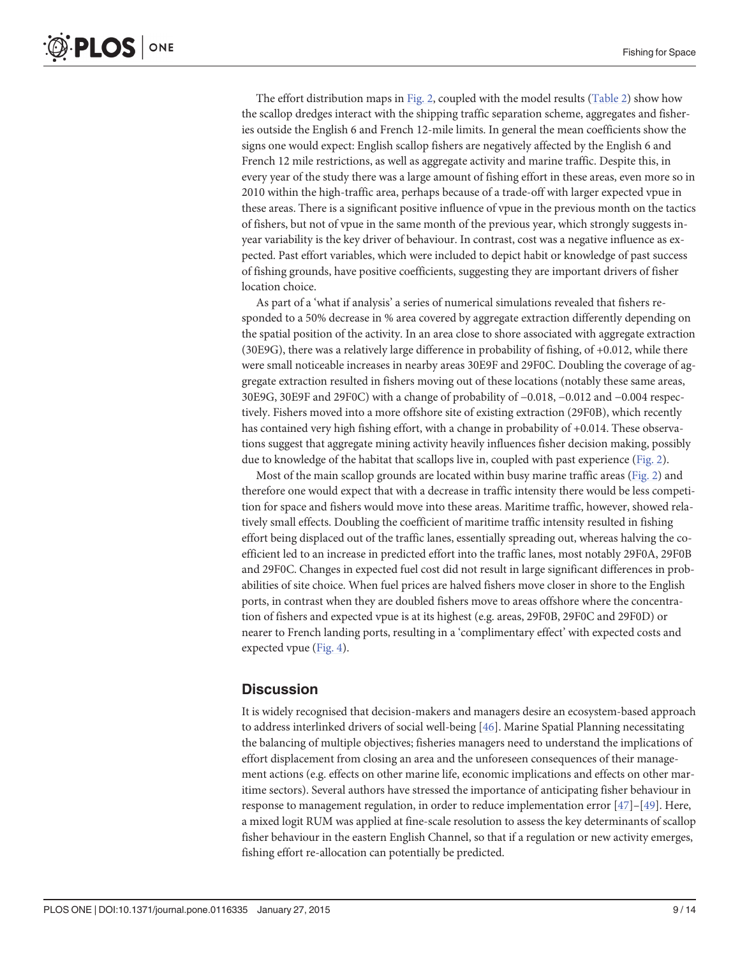<span id="page-8-0"></span>The effort distribution maps in [Fig. 2](#page-5-0), coupled with the model results ([Table 2\)](#page-7-0) show how the scallop dredges interact with the shipping traffic separation scheme, aggregates and fisheries outside the English 6 and French 12-mile limits. In general the mean coefficients show the signs one would expect: English scallop fishers are negatively affected by the English 6 and French 12 mile restrictions, as well as aggregate activity and marine traffic. Despite this, in every year of the study there was a large amount of fishing effort in these areas, even more so in 2010 within the high-traffic area, perhaps because of a trade-off with larger expected vpue in these areas. There is a significant positive influence of vpue in the previous month on the tactics of fishers, but not of vpue in the same month of the previous year, which strongly suggests inyear variability is the key driver of behaviour. In contrast, cost was a negative influence as expected. Past effort variables, which were included to depict habit or knowledge of past success of fishing grounds, have positive coefficients, suggesting they are important drivers of fisher location choice.

As part of a 'what if analysis' a series of numerical simulations revealed that fishers responded to a 50% decrease in % area covered by aggregate extraction differently depending on the spatial position of the activity. In an area close to shore associated with aggregate extraction (30E9G), there was a relatively large difference in probability of fishing, of +0.012, while there were small noticeable increases in nearby areas 30E9F and 29F0C. Doubling the coverage of aggregate extraction resulted in fishers moving out of these locations (notably these same areas, 30E9G, 30E9F and 29F0C) with a change of probability of −0.018, −0.012 and −0.004 respectively. Fishers moved into a more offshore site of existing extraction (29F0B), which recently has contained very high fishing effort, with a change in probability of +0.014. These observations suggest that aggregate mining activity heavily influences fisher decision making, possibly due to knowledge of the habitat that scallops live in, coupled with past experience ([Fig. 2](#page-5-0)).

Most of the main scallop grounds are located within busy marine traffic areas ([Fig. 2](#page-5-0)) and therefore one would expect that with a decrease in traffic intensity there would be less competition for space and fishers would move into these areas. Maritime traffic, however, showed relatively small effects. Doubling the coefficient of maritime traffic intensity resulted in fishing effort being displaced out of the traffic lanes, essentially spreading out, whereas halving the coefficient led to an increase in predicted effort into the traffic lanes, most notably 29F0A, 29F0B and 29F0C. Changes in expected fuel cost did not result in large significant differences in probabilities of site choice. When fuel prices are halved fishers move closer in shore to the English ports, in contrast when they are doubled fishers move to areas offshore where the concentration of fishers and expected vpue is at its highest (e.g. areas, 29F0B, 29F0C and 29F0D) or nearer to French landing ports, resulting in a 'complimentary effect' with expected costs and expected vpue ([Fig. 4](#page-9-0)).

#### **Discussion**

It is widely recognised that decision-makers and managers desire an ecosystem-based approach to address interlinked drivers of social well-being [[46](#page-13-0)]. Marine Spatial Planning necessitating the balancing of multiple objectives; fisheries managers need to understand the implications of effort displacement from closing an area and the unforeseen consequences of their management actions (e.g. effects on other marine life, economic implications and effects on other maritime sectors). Several authors have stressed the importance of anticipating fisher behaviour in response to management regulation, in order to reduce implementation error [\[47\]](#page-13-0)–[[49](#page-13-0)]. Here, a mixed logit RUM was applied at fine-scale resolution to assess the key determinants of scallop fisher behaviour in the eastern English Channel, so that if a regulation or new activity emerges, fishing effort re-allocation can potentially be predicted.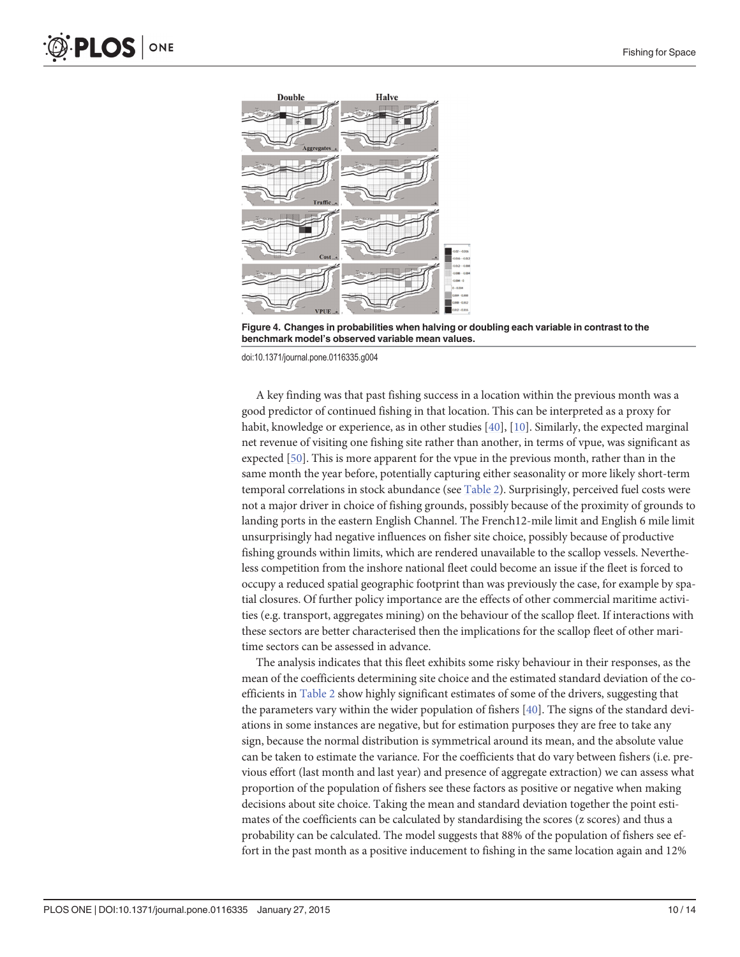<span id="page-9-0"></span>

[Figure 4.](#page-8-0) Changes in probabilities when halving or doubling each variable in contrast to the benchmark model's observed variable mean values.

doi:10.1371/journal.pone.0116335.g004

A key finding was that past fishing success in a location within the previous month was a good predictor of continued fishing in that location. This can be interpreted as a proxy for habit, knowledge or experience, as in other studies [\[40\]](#page-13-0), [\[10\]](#page-12-0). Similarly, the expected marginal net revenue of visiting one fishing site rather than another, in terms of vpue, was significant as expected [\[50](#page-13-0)]. This is more apparent for the vpue in the previous month, rather than in the same month the year before, potentially capturing either seasonality or more likely short-term temporal correlations in stock abundance (see [Table 2](#page-7-0)). Surprisingly, perceived fuel costs were not a major driver in choice of fishing grounds, possibly because of the proximity of grounds to landing ports in the eastern English Channel. The French12-mile limit and English 6 mile limit unsurprisingly had negative influences on fisher site choice, possibly because of productive fishing grounds within limits, which are rendered unavailable to the scallop vessels. Nevertheless competition from the inshore national fleet could become an issue if the fleet is forced to occupy a reduced spatial geographic footprint than was previously the case, for example by spatial closures. Of further policy importance are the effects of other commercial maritime activities (e.g. transport, aggregates mining) on the behaviour of the scallop fleet. If interactions with these sectors are better characterised then the implications for the scallop fleet of other maritime sectors can be assessed in advance.

The analysis indicates that this fleet exhibits some risky behaviour in their responses, as the mean of the coefficients determining site choice and the estimated standard deviation of the coefficients in [Table 2](#page-7-0) show highly significant estimates of some of the drivers, suggesting that the parameters vary within the wider population of fishers  $[40]$  $[40]$  $[40]$ . The signs of the standard deviations in some instances are negative, but for estimation purposes they are free to take any sign, because the normal distribution is symmetrical around its mean, and the absolute value can be taken to estimate the variance. For the coefficients that do vary between fishers (i.e. previous effort (last month and last year) and presence of aggregate extraction) we can assess what proportion of the population of fishers see these factors as positive or negative when making decisions about site choice. Taking the mean and standard deviation together the point estimates of the coefficients can be calculated by standardising the scores (z scores) and thus a probability can be calculated. The model suggests that 88% of the population of fishers see effort in the past month as a positive inducement to fishing in the same location again and 12%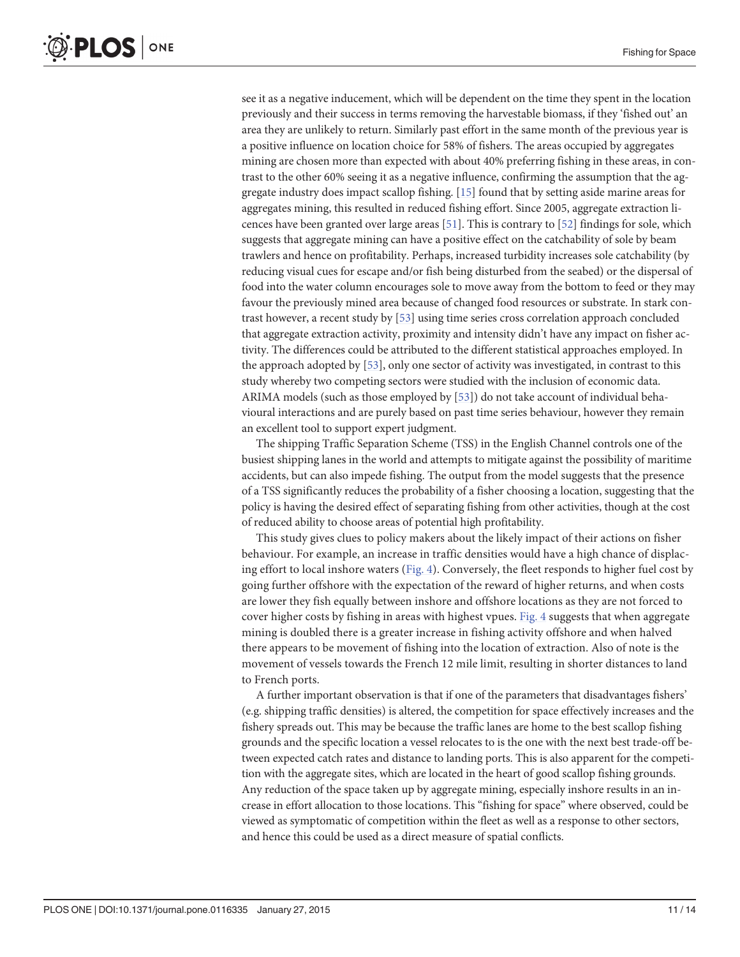<span id="page-10-0"></span>see it as a negative inducement, which will be dependent on the time they spent in the location previously and their success in terms removing the harvestable biomass, if they 'fished out' an area they are unlikely to return. Similarly past effort in the same month of the previous year is a positive influence on location choice for 58% of fishers. The areas occupied by aggregates mining are chosen more than expected with about 40% preferring fishing in these areas, in contrast to the other 60% seeing it as a negative influence, confirming the assumption that the aggregate industry does impact scallop fishing. [[15](#page-12-0)] found that by setting aside marine areas for aggregates mining, this resulted in reduced fishing effort. Since 2005, aggregate extraction licences have been granted over large areas  $[51]$ . This is contrary to  $[52]$  $[52]$  $[52]$  findings for sole, which suggests that aggregate mining can have a positive effect on the catchability of sole by beam trawlers and hence on profitability. Perhaps, increased turbidity increases sole catchability (by reducing visual cues for escape and/or fish being disturbed from the seabed) or the dispersal of food into the water column encourages sole to move away from the bottom to feed or they may favour the previously mined area because of changed food resources or substrate. In stark contrast however, a recent study by [[53](#page-13-0)] using time series cross correlation approach concluded that aggregate extraction activity, proximity and intensity didn't have any impact on fisher activity. The differences could be attributed to the different statistical approaches employed. In the approach adopted by  $[53]$  $[53]$  $[53]$ , only one sector of activity was investigated, in contrast to this study whereby two competing sectors were studied with the inclusion of economic data. ARIMA models (such as those employed by [\[53\]](#page-13-0)) do not take account of individual behavioural interactions and are purely based on past time series behaviour, however they remain an excellent tool to support expert judgment.

The shipping Traffic Separation Scheme (TSS) in the English Channel controls one of the busiest shipping lanes in the world and attempts to mitigate against the possibility of maritime accidents, but can also impede fishing. The output from the model suggests that the presence of a TSS significantly reduces the probability of a fisher choosing a location, suggesting that the policy is having the desired effect of separating fishing from other activities, though at the cost of reduced ability to choose areas of potential high profitability.

This study gives clues to policy makers about the likely impact of their actions on fisher behaviour. For example, an increase in traffic densities would have a high chance of displacing effort to local inshore waters ([Fig. 4](#page-9-0)). Conversely, the fleet responds to higher fuel cost by going further offshore with the expectation of the reward of higher returns, and when costs are lower they fish equally between inshore and offshore locations as they are not forced to cover higher costs by fishing in areas with highest vpues. [Fig. 4](#page-9-0) suggests that when aggregate mining is doubled there is a greater increase in fishing activity offshore and when halved there appears to be movement of fishing into the location of extraction. Also of note is the movement of vessels towards the French 12 mile limit, resulting in shorter distances to land to French ports.

A further important observation is that if one of the parameters that disadvantages fishers' (e.g. shipping traffic densities) is altered, the competition for space effectively increases and the fishery spreads out. This may be because the traffic lanes are home to the best scallop fishing grounds and the specific location a vessel relocates to is the one with the next best trade-off between expected catch rates and distance to landing ports. This is also apparent for the competition with the aggregate sites, which are located in the heart of good scallop fishing grounds. Any reduction of the space taken up by aggregate mining, especially inshore results in an increase in effort allocation to those locations. This "fishing for space" where observed, could be viewed as symptomatic of competition within the fleet as well as a response to other sectors, and hence this could be used as a direct measure of spatial conflicts.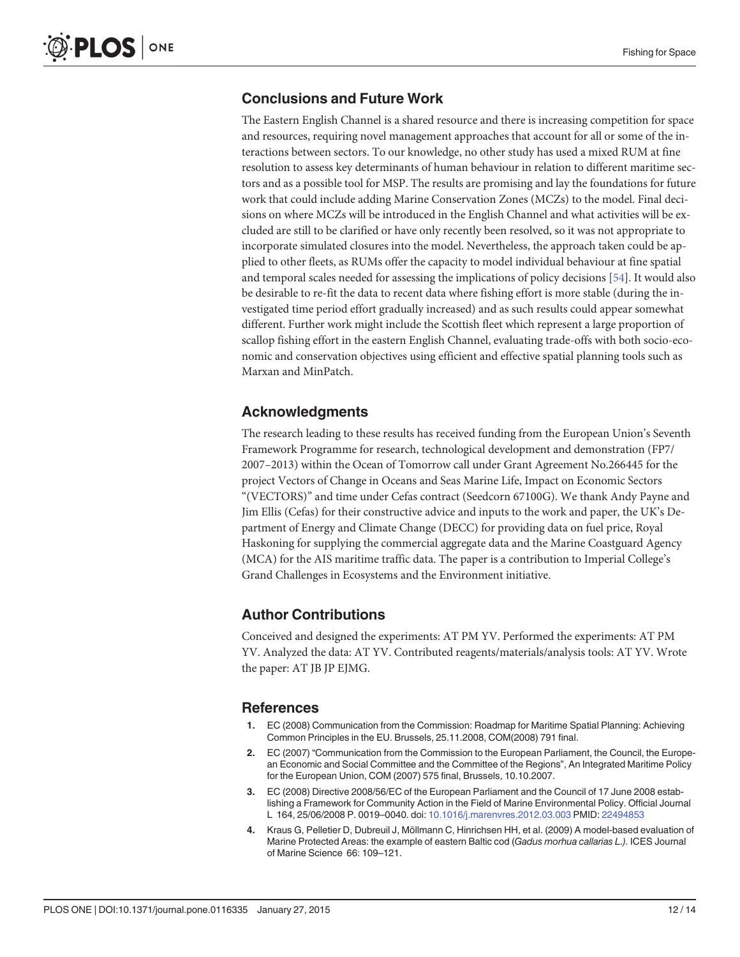## <span id="page-11-0"></span>Conclusions and Future Work

The Eastern English Channel is a shared resource and there is increasing competition for space and resources, requiring novel management approaches that account for all or some of the interactions between sectors. To our knowledge, no other study has used a mixed RUM at fine resolution to assess key determinants of human behaviour in relation to different maritime sectors and as a possible tool for MSP. The results are promising and lay the foundations for future work that could include adding Marine Conservation Zones (MCZs) to the model. Final decisions on where MCZs will be introduced in the English Channel and what activities will be excluded are still to be clarified or have only recently been resolved, so it was not appropriate to incorporate simulated closures into the model. Nevertheless, the approach taken could be applied to other fleets, as RUMs offer the capacity to model individual behaviour at fine spatial and temporal scales needed for assessing the implications of policy decisions [\[54\]](#page-13-0). It would also be desirable to re-fit the data to recent data where fishing effort is more stable (during the investigated time period effort gradually increased) and as such results could appear somewhat different. Further work might include the Scottish fleet which represent a large proportion of scallop fishing effort in the eastern English Channel, evaluating trade-offs with both socio-economic and conservation objectives using efficient and effective spatial planning tools such as Marxan and MinPatch.

## Acknowledgments

The research leading to these results has received funding from the European Union's Seventh Framework Programme for research, technological development and demonstration (FP7/ 2007–2013) within the Ocean of Tomorrow call under Grant Agreement No.266445 for the project Vectors of Change in Oceans and Seas Marine Life, Impact on Economic Sectors "(VECTORS)" and time under Cefas contract (Seedcorn 67100G). We thank Andy Payne and Jim Ellis (Cefas) for their constructive advice and inputs to the work and paper, the UK's Department of Energy and Climate Change (DECC) for providing data on fuel price, Royal Haskoning for supplying the commercial aggregate data and the Marine Coastguard Agency (MCA) for the AIS maritime traffic data. The paper is a contribution to Imperial College's Grand Challenges in Ecosystems and the Environment initiative.

## Author Contributions

Conceived and designed the experiments: AT PM YV. Performed the experiments: AT PM YV. Analyzed the data: AT YV. Contributed reagents/materials/analysis tools: AT YV. Wrote the paper: AT JB JP EJMG.

## References

- [1.](#page-1-0) EC (2008) Communication from the Commission: Roadmap for Maritime Spatial Planning: Achieving Common Principles in the EU. Brussels, 25.11.2008, COM(2008) 791 final.
- [2.](#page-1-0) EC (2007) "Communication from the Commission to the European Parliament, the Council, the European Economic and Social Committee and the Committee of the Regions", An Integrated Maritime Policy for the European Union, COM (2007) 575 final, Brussels, 10.10.2007.
- [3.](#page-1-0) EC (2008) Directive 2008/56/EC of the European Parliament and the Council of 17 June 2008 establishing a Framework for Community Action in the Field of Marine Environmental Policy. Official Journal L 164, 25/06/2008 P. 0019–0040. doi: [10.1016/j.marenvres.2012.03.003](http://dx.doi.org/10.1016/j.marenvres.2012.03.003) PMID: [22494853](http://www.ncbi.nlm.nih.gov/pubmed/22494853)
- [4.](#page-1-0) Kraus G, Pelletier D, Dubreuil J, Möllmann C, Hinrichsen HH, et al. (2009) A model-based evaluation of Marine Protected Areas: the example of eastern Baltic cod (Gadus morhua callarias L.). ICES Journal of Marine Science 66: 109–121.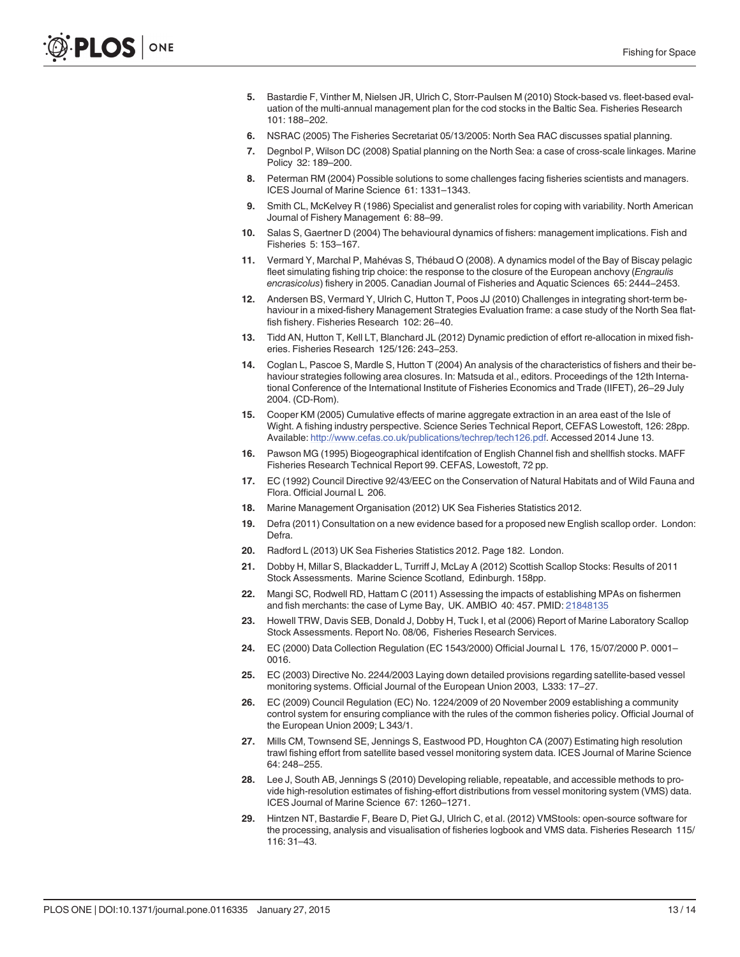- <span id="page-12-0"></span>[5.](#page-1-0) Bastardie F, Vinther M, Nielsen JR, Ulrich C, Storr-Paulsen M (2010) Stock-based vs. fleet-based eval-101: 188−202. uation of the multi-annual management plan for the cod stocks in the Baltic Sea. Fisheries Research
- [6.](#page-1-0) NSRAC (2005) The Fisheries Secretariat 05/13/2005: North Sea RAC discusses spatial planning.
- [7.](#page-1-0) Degnbol P, Wilson DC (2008) Spatial planning on the North Sea: a case of cross-scale linkages. Marine Policy 32: 189–200.
- [8.](#page-1-0) Peterman RM (2004) Possible solutions to some challenges facing fisheries scientists and managers. ICES Journal of Marine Science 61: 1331–1343.
- [9.](#page-1-0) Smith CL, McKelvey R (1986) Specialist and generalist roles for coping with variability. North American Journal of Fishery Management 6: 88–99.
- [10.](#page-1-0) Salas S, Gaertner D (2004) The behavioural dynamics of fishers: management implications. Fish and Fisheries 5: 153–167.
- [11.](#page-1-0) Vermard Y, Marchal P, Mahévas S, Thébaud O (2008). A dynamics model of the Bay of Biscay pelagic<br>fleet simulating fishing trip choice: the response to the closure of the European anchovy (*Engraulis*<br>encrasicolus) fish fleet simulating fishing trip choice: the response to the closure of the European anchovy (Engraulis
- 12. Andersen BS, Vermard Y, Ulrich C, Hutton T, Poos JJ (2010) Challenges in integrating short-term be-fish fishery. Fisheries Research 102: 26−40. haviour in a mixed-fishery Management Strategies Evaluation frame: a case study of the North Sea flat-
- [13.](#page-1-0) Tidd AN, Hutton T, Kell LT, Blanchard JL (2012) Dynamic prediction of effort re-allocation in mixed fishfish fishery. Fisheries Research 102: 26–40.<br>Tidd AN, Hutton T, Kell LT, Blanchard JL (201.<br>eries. Fisheries Research 125/126: 243–253.
- [14.](#page-1-0) Coglan L, Pascoe S, Mardle S, Hutton T (2004) An analysis of the characteristics of fishers and their be-<br>haviour strategies following area closures. In: Matsuda et al., editors. Proceedings of the 12th Interna-<br>tiona haviour strategies following area closures. In: Matsuda et al., editors. Proceedings of the 12th Interna-2004. (CD-Rom).
- [15.](#page-2-0) Cooper KM (2005) Cumulative effects of marine aggregate extraction in an area east of the Isle of Wight. A fishing industry perspective. Science Series Technical Report, CEFAS Lowestoft, 126: 28pp. Available: [http://www.cefas.co.uk/publications/techrep/tech126.pdf.](http://www.cefas.co.uk/publications/techrep/tech126.pdf) Accessed 2014 June 13.
- [16.](#page-2-0) Pawson MG (1995) Biogeographical identifcation of English Channel fish and shellfish stocks. MAFF Fisheries Research Technical Report 99. CEFAS, Lowestoft, 72 pp.
- [17.](#page-2-0) EC (1992) Council Directive 92/43/EEC on the Conservation of Natural Habitats and of Wild Fauna and Flora. Official Journal L 206.
- [18.](#page-2-0) Marine Management Organisation (2012) UK Sea Fisheries Statistics 2012.
- [19.](#page-2-0) Defra (2011) Consultation on a new evidence based for a proposed new English scallop order. London: Defra.
- [20.](#page-2-0) Radford L (2013) UK Sea Fisheries Statistics 2012. Page 182. London.
- [21.](#page-2-0) Dobby H, Millar S, Blackadder L, Turriff J, McLay A (2012) Scottish Scallop Stocks: Results of 2011 Stock Assessments. Marine Science Scotland, Edinburgh. 158pp.
- [22.](#page-3-0) Mangi SC, Rodwell RD, Hattam C (2011) Assessing the impacts of establishing MPAs on fishermen and fish merchants: the case of Lyme Bay, UK. AMBIO 40: 457. PMID: [21848135](http://www.ncbi.nlm.nih.gov/pubmed/21848135)
- [23.](#page-3-0) Howell TRW, Davis SEB, Donald J, Dobby H, Tuck I, et al (2006) Report of Marine Laboratory Scallop Stock Assessments. Report No. 08/06, Fisheries Research Services.
- [24.](#page-3-0) EC (2000) Data Collection Regulation (EC 1543/2000) Official Journal L 176, 15/07/2000 P. 0001– 0016.
- [25.](#page-3-0) EC (2003) Directive No. 2244/2003 Laying down detailed provisions regarding satellite-based vessel 0016.<br>EC (2003) Directive No. 2244/2003 Laying down detailed provisions regarding s<br>monitoring systems. Official Journal of the European Union 2003, L333: 17−27.
- [26.](#page-3-0) EC (2009) Council Regulation (EC) No. 1224/2009 of 20 November 2009 establishing a community control system for ensuring compliance with the rules of the common fisheries policy. Official Journal of the European Union 2009; L 343/1.
- [27.](#page-3-0) Mills CM, Townsend SE, Jennings S, Eastwood PD, Houghton CA (2007) Estimating high resolution 64: 248−255. trawl fishing effort from satellite based vessel monitoring system data. ICES Journal of Marine Science
- [28.](#page-3-0) Lee J, South AB, Jennings S (2010) Developing reliable, repeatable, and accessible methods to provide high-resolution estimates of fishing-effort distributions from vessel monitoring system (VMS) data. ICES Journal of Marine Science 67: 1260–1271.
- [29.](#page-3-0) Hintzen NT, Bastardie F, Beare D, Piet GJ, Ulrich C, et al. (2012) VMStools: open-source software for the processing, analysis and visualisation of fisheries logbook and VMS data. Fisheries Research 115/ 116: 31–43.